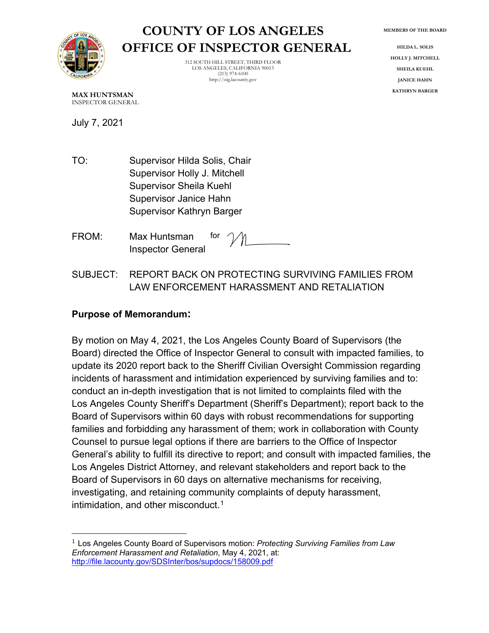

# **COUNTY OF LOS ANGELES OFFICE OF INSPECTOR GENERAL**

312 SOUTH HILL STREET, THIRD FLOOR LOS ANGELES, CALIFORNIA 90013 (213) 974-6100 http://oig.lacounty.gov

**MEMBERS OF THE BOARD**

**HILDA L. SOLIS HOLLY J. MITCHELL SHEILA KUEHL JANICE HAHN KATHRYN BARGER**

**MAX HUNTSMAN** INSPECTOR GENERAL

July 7, 2021

- TO: Supervisor Hilda Solis, Chair Supervisor Holly J. Mitchell Supervisor Sheila Kuehl Supervisor Janice Hahn Supervisor Kathryn Barger
- FROM: Max Huntsman Inspector General for
- SUBJECT: REPORT BACK ON PROTECTING SURVIVING FAMILIES FROM LAW ENFORCEMENT HARASSMENT AND RETALIATION

#### **Purpose of Memorandum:**

By motion on May 4, 2021, the Los Angeles County Board of Supervisors (the Board) directed the Office of Inspector General to consult with impacted families, to update its 2020 report back to the Sheriff Civilian Oversight Commission regarding incidents of harassment and intimidation experienced by surviving families and to: conduct an in-depth investigation that is not limited to complaints filed with the Los Angeles County Sheriff's Department (Sheriff's Department); report back to the Board of Supervisors within 60 days with robust recommendations for supporting families and forbidding any harassment of them; work in collaboration with County Counsel to pursue legal options if there are barriers to the Office of Inspector General's ability to fulfill its directive to report; and consult with impacted families, the Los Angeles District Attorney, and relevant stakeholders and report back to the Board of Supervisors in 60 days on alternative mechanisms for receiving, investigating, and retaining community complaints of deputy harassment, intimidation, and other misconduct. $^1$  $^1$ 

<span id="page-0-0"></span><sup>1</sup> Los Angeles County Board of Supervisors motion: *Protecting Surviving Families from Law Enforcement Harassment and Retaliation*, May 4, 2021, at: <http://file.lacounty.gov/SDSInter/bos/supdocs/158009.pdf>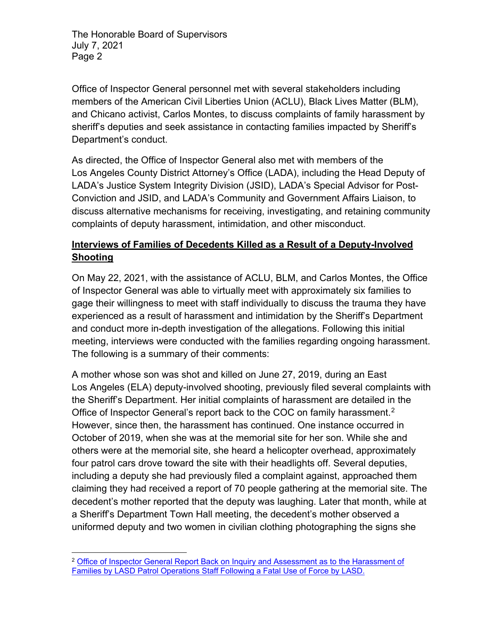Office of Inspector General personnel met with several stakeholders including members of the American Civil Liberties Union (ACLU), Black Lives Matter (BLM), and Chicano activist, Carlos Montes, to discuss complaints of family harassment by sheriff's deputies and seek assistance in contacting families impacted by Sheriff's Department's conduct.

As directed, the Office of Inspector General also met with members of the Los Angeles County District Attorney's Office (LADA), including the Head Deputy of LADA's Justice System Integrity Division (JSID), LADA's Special Advisor for Post-Conviction and JSID, and LADA's Community and Government Affairs Liaison, to discuss alternative mechanisms for receiving, investigating, and retaining community complaints of deputy harassment, intimidation, and other misconduct.

# **Interviews of Families of Decedents Killed as a Result of a Deputy-Involved Shooting**

On May 22, 2021, with the assistance of ACLU, BLM, and Carlos Montes, the Office of Inspector General was able to virtually meet with approximately six families to gage their willingness to meet with staff individually to discuss the trauma they have experienced as a result of harassment and intimidation by the Sheriff's Department and conduct more in-depth investigation of the allegations. Following this initial meeting, interviews were conducted with the families regarding ongoing harassment. The following is a summary of their comments:

A mother whose son was shot and killed on June 27, 2019, during an East Los Angeles (ELA) deputy-involved shooting, previously filed several complaints with the Sheriff's Department. Her initial complaints of harassment are detailed in the Office of Inspector General's report back to the COC on family harassment.<sup>[2](#page-1-0)</sup> However, since then, the harassment has continued. One instance occurred in October of 2019, when she was at the memorial site for her son. While she and others were at the memorial site, she heard a helicopter overhead, approximately four patrol cars drove toward the site with their headlights off. Several deputies, including a deputy she had previously filed a complaint against, approached them claiming they had received a report of 70 people gathering at the memorial site. The decedent's mother reported that the deputy was laughing. Later that month, while at a Sheriff's Department Town Hall meeting, the decedent's mother observed a uniformed deputy and two women in civilian clothing photographing the signs she

<span id="page-1-0"></span><sup>&</sup>lt;sup>2</sup> Office of Inspector General Report Back on Inquiry and Assessment as to the Harassment of [Families by LASD Patrol Operations Staff Following a Fatal Use of Force by LASD.](https://oig.lacounty.gov/Portals/OIG/Reports/FatalForceHarassmentCOCReportBack.pdf?ver=epu1Kz8Opxxv7TCMhefoqA%3d%3d)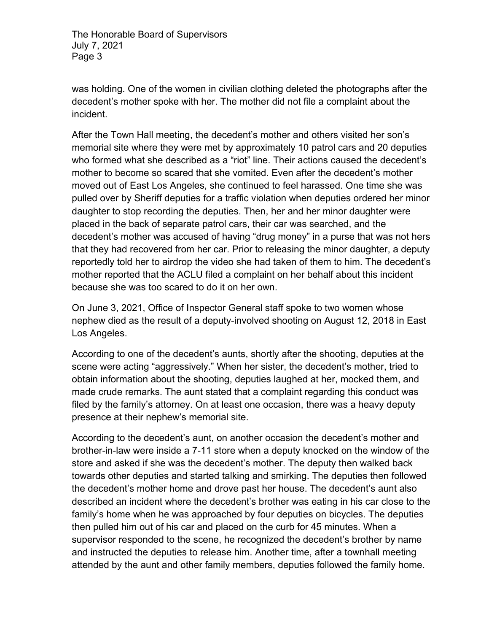was holding. One of the women in civilian clothing deleted the photographs after the decedent's mother spoke with her. The mother did not file a complaint about the incident.

After the Town Hall meeting, the decedent's mother and others visited her son's memorial site where they were met by approximately 10 patrol cars and 20 deputies who formed what she described as a "riot" line. Their actions caused the decedent's mother to become so scared that she vomited. Even after the decedent's mother moved out of East Los Angeles, she continued to feel harassed. One time she was pulled over by Sheriff deputies for a traffic violation when deputies ordered her minor daughter to stop recording the deputies. Then, her and her minor daughter were placed in the back of separate patrol cars, their car was searched, and the decedent's mother was accused of having "drug money" in a purse that was not hers that they had recovered from her car. Prior to releasing the minor daughter, a deputy reportedly told her to airdrop the video she had taken of them to him. The decedent's mother reported that the ACLU filed a complaint on her behalf about this incident because she was too scared to do it on her own.

On June 3, 2021, Office of Inspector General staff spoke to two women whose nephew died as the result of a deputy-involved shooting on August 12, 2018 in East Los Angeles.

According to one of the decedent's aunts, shortly after the shooting, deputies at the scene were acting "aggressively." When her sister, the decedent's mother, tried to obtain information about the shooting, deputies laughed at her, mocked them, and made crude remarks. The aunt stated that a complaint regarding this conduct was filed by the family's attorney. On at least one occasion, there was a heavy deputy presence at their nephew's memorial site.

According to the decedent's aunt, on another occasion the decedent's mother and brother-in-law were inside a 7-11 store when a deputy knocked on the window of the store and asked if she was the decedent's mother. The deputy then walked back towards other deputies and started talking and smirking. The deputies then followed the decedent's mother home and drove past her house. The decedent's aunt also described an incident where the decedent's brother was eating in his car close to the family's home when he was approached by four deputies on bicycles. The deputies then pulled him out of his car and placed on the curb for 45 minutes. When a supervisor responded to the scene, he recognized the decedent's brother by name and instructed the deputies to release him. Another time, after a townhall meeting attended by the aunt and other family members, deputies followed the family home.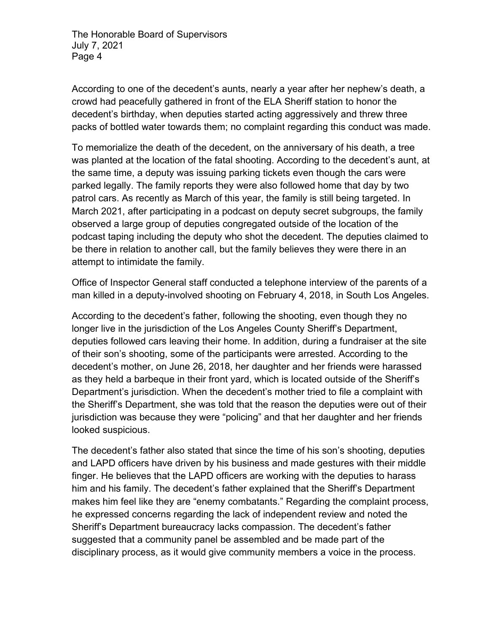According to one of the decedent's aunts, nearly a year after her nephew's death, a crowd had peacefully gathered in front of the ELA Sheriff station to honor the decedent's birthday, when deputies started acting aggressively and threw three packs of bottled water towards them; no complaint regarding this conduct was made.

To memorialize the death of the decedent, on the anniversary of his death, a tree was planted at the location of the fatal shooting. According to the decedent's aunt, at the same time, a deputy was issuing parking tickets even though the cars were parked legally. The family reports they were also followed home that day by two patrol cars. As recently as March of this year, the family is still being targeted. In March 2021, after participating in a podcast on deputy secret subgroups, the family observed a large group of deputies congregated outside of the location of the podcast taping including the deputy who shot the decedent. The deputies claimed to be there in relation to another call, but the family believes they were there in an attempt to intimidate the family.

Office of Inspector General staff conducted a telephone interview of the parents of a man killed in a deputy-involved shooting on February 4, 2018, in South Los Angeles.

According to the decedent's father, following the shooting, even though they no longer live in the jurisdiction of the Los Angeles County Sheriff's Department, deputies followed cars leaving their home. In addition, during a fundraiser at the site of their son's shooting, some of the participants were arrested. According to the decedent's mother, on June 26, 2018, her daughter and her friends were harassed as they held a barbeque in their front yard, which is located outside of the Sheriff's Department's jurisdiction. When the decedent's mother tried to file a complaint with the Sheriff's Department, she was told that the reason the deputies were out of their jurisdiction was because they were "policing" and that her daughter and her friends looked suspicious.

The decedent's father also stated that since the time of his son's shooting, deputies and LAPD officers have driven by his business and made gestures with their middle finger. He believes that the LAPD officers are working with the deputies to harass him and his family. The decedent's father explained that the Sheriff's Department makes him feel like they are "enemy combatants." Regarding the complaint process, he expressed concerns regarding the lack of independent review and noted the Sheriff's Department bureaucracy lacks compassion. The decedent's father suggested that a community panel be assembled and be made part of the disciplinary process, as it would give community members a voice in the process.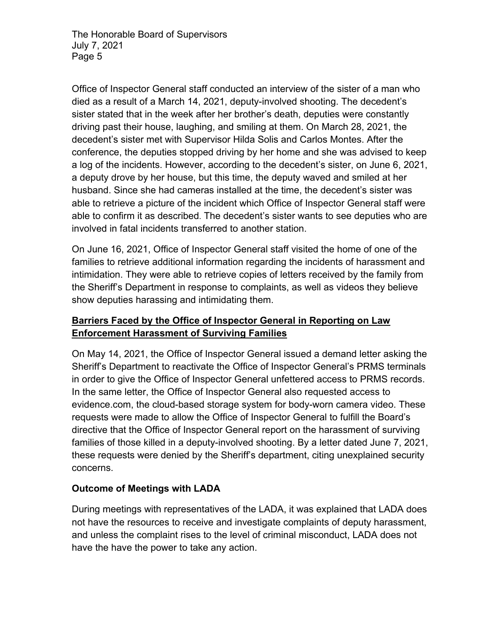Office of Inspector General staff conducted an interview of the sister of a man who died as a result of a March 14, 2021, deputy-involved shooting. The decedent's sister stated that in the week after her brother's death, deputies were constantly driving past their house, laughing, and smiling at them. On March 28, 2021, the decedent's sister met with Supervisor Hilda Solis and Carlos Montes. After the conference, the deputies stopped driving by her home and she was advised to keep a log of the incidents. However, according to the decedent's sister, on June 6, 2021, a deputy drove by her house, but this time, the deputy waved and smiled at her husband. Since she had cameras installed at the time, the decedent's sister was able to retrieve a picture of the incident which Office of Inspector General staff were able to confirm it as described. The decedent's sister wants to see deputies who are involved in fatal incidents transferred to another station.

On June 16, 2021, Office of Inspector General staff visited the home of one of the families to retrieve additional information regarding the incidents of harassment and intimidation. They were able to retrieve copies of letters received by the family from the Sheriff's Department in response to complaints, as well as videos they believe show deputies harassing and intimidating them.

# **Barriers Faced by the Office of Inspector General in Reporting on Law Enforcement Harassment of Surviving Families**

On May 14, 2021, the Office of Inspector General issued a demand letter asking the Sheriff's Department to reactivate the Office of Inspector General's PRMS terminals in order to give the Office of Inspector General unfettered access to PRMS records. In the same letter, the Office of Inspector General also requested access to evidence.com, the cloud-based storage system for body-worn camera video. These requests were made to allow the Office of Inspector General to fulfill the Board's directive that the Office of Inspector General report on the harassment of surviving families of those killed in a deputy-involved shooting. By a letter dated June 7, 2021, these requests were denied by the Sheriff's department, citing unexplained security concerns.

## **Outcome of Meetings with LADA**

During meetings with representatives of the LADA, it was explained that LADA does not have the resources to receive and investigate complaints of deputy harassment, and unless the complaint rises to the level of criminal misconduct, LADA does not have the have the power to take any action.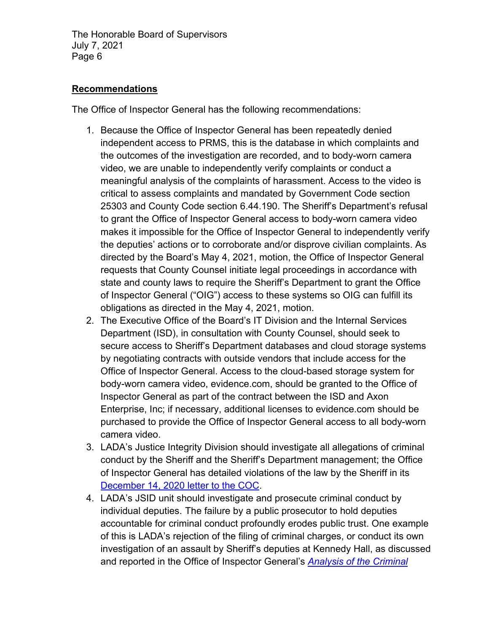### **Recommendations**

The Office of Inspector General has the following recommendations:

- 1. Because the Office of Inspector General has been repeatedly denied independent access to PRMS, this is the database in which complaints and the outcomes of the investigation are recorded, and to body-worn camera video, we are unable to independently verify complaints or conduct a meaningful analysis of the complaints of harassment. Access to the video is critical to assess complaints and mandated by Government Code section 25303 and County Code section 6.44.190. The Sheriff's Department's refusal to grant the Office of Inspector General access to body-worn camera video makes it impossible for the Office of Inspector General to independently verify the deputies' actions or to corroborate and/or disprove civilian complaints. As directed by the Board's May 4, 2021, motion, the Office of Inspector General requests that County Counsel initiate legal proceedings in accordance with state and county laws to require the Sheriff's Department to grant the Office of Inspector General ("OIG") access to these systems so OIG can fulfill its obligations as directed in the May 4, 2021, motion.
- 2. The Executive Office of the Board's IT Division and the Internal Services Department (ISD), in consultation with County Counsel, should seek to secure access to Sheriff's Department databases and cloud storage systems by negotiating contracts with outside vendors that include access for the Office of Inspector General. Access to the cloud-based storage system for body-worn camera video, evidence.com, should be granted to the Office of Inspector General as part of the contract between the ISD and Axon Enterprise, Inc; if necessary, additional licenses to evidence.com should be purchased to provide the Office of Inspector General access to all body-worn camera video.
- 3. LADA's Justice Integrity Division should investigate all allegations of criminal conduct by the Sheriff and the Sheriff's Department management; the Office of Inspector General has detailed violations of the law by the Sheriff in its [December 14, 2020 letter to the COC.](https://oig.lacounty.gov/Portals/OIG/Reports/UnlawfulConductOfLASD.pdf?ver=m_s7zzvyXRs6DSbMsR9AEw%3d%3d))
- 4. LADA's JSID unit should investigate and prosecute criminal conduct by individual deputies. The failure by a public prosecutor to hold deputies accountable for criminal conduct profoundly erodes public trust. One example of this is LADA's rejection of the filing of criminal charges, or conduct its own investigation of an assault by Sheriff's deputies at Kennedy Hall, as discussed and reported in the Office of Inspector General's *[Analysis of the Criminal](https://oig.lacounty.gov/Portals/OIG/Reports/Review_Banditos_Investigation.pdf?ver=rFOrJ7O-WQGq4SYeyOVDEw%3d%3d)*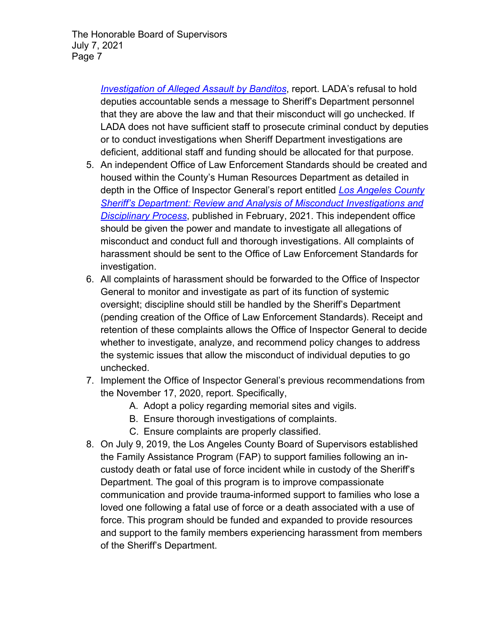> *[Investigation of Alleged Assault by Banditos](https://oig.lacounty.gov/Portals/OIG/Reports/Review_Banditos_Investigation.pdf?ver=rFOrJ7O-WQGq4SYeyOVDEw%3d%3d)*, report. LADA's refusal to hold deputies accountable sends a message to Sheriff's Department personnel that they are above the law and that their misconduct will go unchecked. If LADA does not have sufficient staff to prosecute criminal conduct by deputies or to conduct investigations when Sheriff Department investigations are deficient, additional staff and funding should be allocated for that purpose.

- 5. An independent Office of Law Enforcement Standards should be created and housed within the County's Human Resources Department as detailed in depth in the Office of Inspector General's report entitled *[Los Angeles County](https://oig.lacounty.gov/Portals/OIG/Reports/IIPublicReport_Body2.pdf?ver=qMyIxZkcy_EwrtHn0JWrOw%3d%3d)  [Sheriff's Department: Review and Analysis of Misconduct Investigations and](https://oig.lacounty.gov/Portals/OIG/Reports/IIPublicReport_Body2.pdf?ver=qMyIxZkcy_EwrtHn0JWrOw%3d%3d)  [Disciplinary Process](https://oig.lacounty.gov/Portals/OIG/Reports/IIPublicReport_Body2.pdf?ver=qMyIxZkcy_EwrtHn0JWrOw%3d%3d)*, published in February, 2021. This independent office should be given the power and mandate to investigate all allegations of misconduct and conduct full and thorough investigations. All complaints of harassment should be sent to the Office of Law Enforcement Standards for investigation.
- 6. All complaints of harassment should be forwarded to the Office of Inspector General to monitor and investigate as part of its function of systemic oversight; discipline should still be handled by the Sheriff's Department (pending creation of the Office of Law Enforcement Standards). Receipt and retention of these complaints allows the Office of Inspector General to decide whether to investigate, analyze, and recommend policy changes to address the systemic issues that allow the misconduct of individual deputies to go unchecked.
- 7. Implement the Office of Inspector General's previous recommendations from the November 17, 2020, report. Specifically,
	- A. Adopt a policy regarding memorial sites and vigils.
	- B. Ensure thorough investigations of complaints.
	- C. Ensure complaints are properly classified.
- 8. On July 9, 2019, the Los Angeles County Board of Supervisors established the Family Assistance Program (FAP) to support families following an incustody death or fatal use of force incident while in custody of the Sheriff's Department. The goal of this program is to improve compassionate communication and provide trauma-informed support to families who lose a loved one following a fatal use of force or a death associated with a use of force. This program should be funded and expanded to provide resources and support to the family members experiencing harassment from members of the Sheriff's Department.